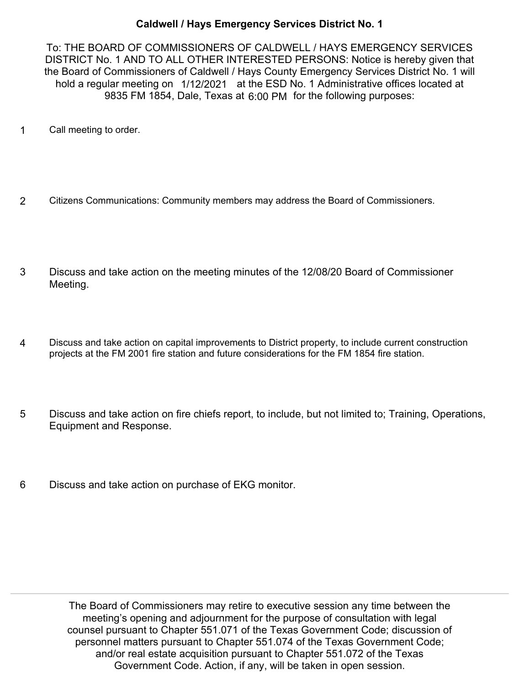## **Caldwell / Hays Emergency Services District No. 1**

To: THE BOARD OF COMMISSIONERS OF CALDWELL / HAYS EMERGENCY SERVICES DISTRICT No. 1 AND TO ALL OTHER INTERESTED PERSONS: Notice is hereby given that the Board of Commissioners of Caldwell / Hays County Emergency Services District No. 1 will hold a regular meeting on 1/12/2021 at the ESD No. 1 Administrative offices located at 9835 FM 1854, Dale, Texas at 6:00 PM for the following purposes:

- 1 Call meeting to order.
- 2 Citizens Communications: Community members may address the Board of Commissioners.
- Discuss and take action on the meeting minutes of the 12/08/20 Board of Commissioner Meeting. 3
- Discuss and take action on capital improvements to District property, to include current construction projects at the FM 2001 fire station and future considerations for the FM 1854 fire station. 4
- Discuss and take action on fire chiefs report, to include, but not limited to; Training, Operations, Equipment and Response. 5
- 6 Discuss and take action on purchase of EKG monitor.

The Board of Commissioners may retire to executive session any time between the meeting's opening and adjournment for the purpose of consultation with legal counsel pursuant to Chapter 551.071 of the Texas Government Code; discussion of personnel matters pursuant to Chapter 551.074 of the Texas Government Code; and/or real estate acquisition pursuant to Chapter 551.072 of the Texas Government Code. Action, if any, will be taken in open session.